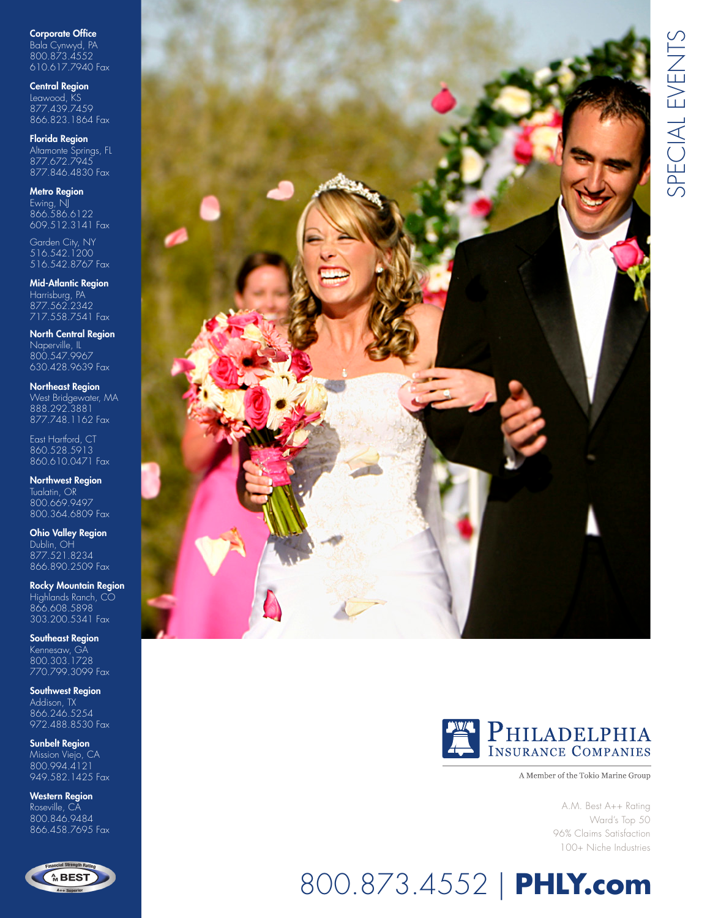Corporate Office Bala Cynwyd, PA 800.873.4552 610.617.7940 Fax

Central Region

Leawood, KS 877.439.7459 866.823.1864 Fax

Florida Region Altamonte Springs, FL 877.672.7945 877.846.4830 Fax

Metro Region

Ewing, NJ 866.586.6122 609.512.3141 Fax

Garden City, NY 516.542.1200 516.542.8767 Fax

Mid-Atlantic Region Harrisburg, PA 877.562.2342 717.558.7541 Fax

North Central Region Naperville, IL 800.547.9967 630.428.9639 Fax

Northeast Region West Bridgewater, MA 888.292.3881 877.748.1162 Fax

East Hartford, CT 860.528.5913 860.610.0471 Fax

Northwest Region Tualatin, OR 800.669.9497 800.364.6809 Fax

Ohio Valley Region Dublin, OH 877.521.8234 866.890.2509 Fax

Rocky Mountain Region Highlands Ranch, CO 866.608.5898 303.200.5341 Fax

Southeast Region Kennesaw, GA 800.303.1728 770.799.3099 Fax

Southwest Region Addison, TX 866.246.5254 972.488.8530 Fax

Sunbelt Region Mission Viejo, CA 800.994.4121 949.582.1425 Fax

Western Region Roseville, CA 800.846.9484 866.458.7695 Fax







A Member of the Tokio Marine Group

A.M. Best A++ Rating Ward's Top 50 96% Claims Satisfaction 100+ Niche Industries

# 800.873.4552 | **PHLY.com**